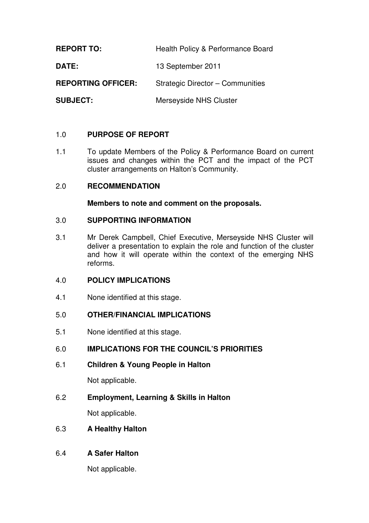**REPORT TO:** Health Policy & Performance Board **DATE:** 13 September 2011 **REPORTING OFFICER:** Strategic Director – Communities **SUBJECT:** Merseyside NHS Cluster

## 1.0 **PURPOSE OF REPORT**

1.1 To update Members of the Policy & Performance Board on current issues and changes within the PCT and the impact of the PCT cluster arrangements on Halton's Community.

#### 2.0 **RECOMMENDATION**

#### **Members to note and comment on the proposals.**

#### 3.0 **SUPPORTING INFORMATION**

3.1 Mr Derek Campbell, Chief Executive, Merseyside NHS Cluster will deliver a presentation to explain the role and function of the cluster and how it will operate within the context of the emerging NHS reforms.

#### 4.0 **POLICY IMPLICATIONS**

4.1 None identified at this stage.

#### 5.0 **OTHER/FINANCIAL IMPLICATIONS**

5.1 None identified at this stage.

#### 6.0 **IMPLICATIONS FOR THE COUNCIL'S PRIORITIES**

6.1 **Children & Young People in Halton** 

Not applicable.

6.2 **Employment, Learning & Skills in Halton** 

Not applicable.

#### 6.3 **A Healthy Halton**

## 6.4 **A Safer Halton**

Not applicable.